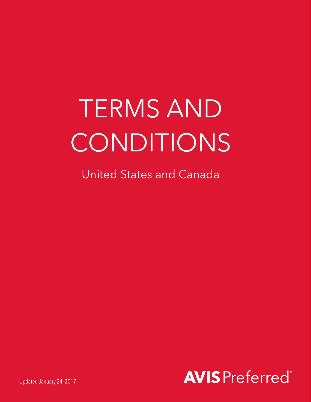# TERMS AND CONDITIONS

United States and Canada



Updated January 24, 2017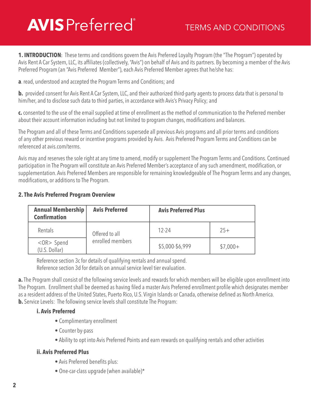**1. INTRODUCTION**: These terms and conditions govern the Avis Preferred Loyalty Program (the "The Program") operated by Avis Rent A Car System, LLC, its affiliates (collectively, "Avis") on behalf of Avis and its partners. By becoming a member of the Avis Preferred Program (an "Avis Preferred Member"), each Avis Preferred Member agrees that he/she has:

**a**. read, understood and accepted the Program Terms and Conditions; and

**b.** provided consent for Avis Rent A Car System, LLC, and their authorized third-party agents to process data that is personal to him/her, and to disclose such data to third parties, in accordance with Avis's Privacy Policy; and

**c.** consented to the use of the email supplied at time of enrollment as the method of communication to the Preferred member about their account information including but not limited to program changes, modifications and balances.

The Program and all of these Terms and Conditions supersede all previous Avis programs and all prior terms and conditions of any other previous reward or incentive programs provided by Avis. Avis Preferred Program Terms and Conditions can be referenced at avis.com/terms.

Avis may and reserves the sole right at any time to amend, modify or supplement The Program Terms and Conditions. Continued participation in The Program will constitute an Avis Preferred Member's acceptance of any such amendment, modification, or supplementation. Avis Preferred Members are responsible for remaining knowledgeable of The Program Terms and any changes, modifications, or additions to The Program.

#### **2. The Avis Preferred Program Overview**

| <b>Annual Membership</b><br><b>Confirmation</b> | <b>Avis Preferred</b>              | <b>Avis Preferred Plus</b> |           |
|-------------------------------------------------|------------------------------------|----------------------------|-----------|
| Rentals                                         | Offered to all<br>enrolled members | $12 - 24$                  | $25+$     |
| $<$ OR $>$ Spend<br>(U.S. Dollar)               |                                    | \$5,000-\$6,999            | $$7,000+$ |

Reference section 3c for details of qualifying rentals and annual spend. Reference section 3d for details on annual service level tier evaluation.

**a.** The Program shall consist of the following service levels and rewards for which members will be eligible upon enrollment into The Program. Enrollment shall be deemed as having filed a master Avis Preferred enrollment profile which designates member as a resident address of the United States, Puerto Rico, U.S. Virgin Islands or Canada, otherwise defined as North America. **b.** Service Levels: The following service levels shall constitute The Program:

#### **i. Avis Preferred**

- Complimentary enrollment
- Counter by-pass
- Ability to opt into Avis Preferred Points and earn rewards on qualifying rentals and other activities

#### **ii. Avis Preferred Plus**

- Avis Preferred benefits plus:
- One-car-class upgrade (when available)\*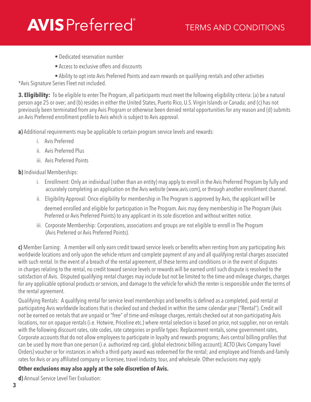- Dedicated reservation number
- Access to exclusive offers and discounts

 • Ability to opt into Avis Preferred Points and earn rewards on qualifying rentals and other activities \*Avis Signature Series Fleet not included.

**3. Eligibility:** To be eligible to enter The Program, all participants must meet the following eligibility criteria: (a) be a natural person age 25 or over; and (b) resides in either the United States, Puerto Rico, U.S. Virgin Islands or Canada; and (c) has not previously been terminated from any Avis Program or otherwise been denied rental opportunities for any reason and (d) submits an Avis Preferred enrollment profile to Avis which is subject to Avis approval.

**a)** Additional requirements may be applicable to certain program service levels and rewards:

- i. Avis Preferred
- ii. Avis Preferred Plus
- iii. Avis Preferred Points

**b)** Individual Memberships:

- i. Enrollment: Only an individual (rather than an entity) may apply to enroll in the Avis Preferred Program by fully and accurately completing an application on the Avis website (www.avis.com), or through another enrollment channel.
- ii. Eligibility Approval: Once eligibility for membership in The Program is approved by Avis, the applicant will be deemed enrolled and eligible for participation in The Program. Avis may deny membership in The Program (Avis Preferred or Avis Preferred Points) to any applicant in its sole discretion and without written notice.
- iii. Corporate Membership: Corporations, associations and groups are not eligible to enroll in The Program (Avis Preferred or Avis Preferred Points).

**c)** Member Earning: A member will only earn credit toward service levels or benefits when renting from any participating Avis worldwide locations and only upon the vehicle return and complete payment of any and all qualifying rental charges associated with such rental. In the event of a breach of the rental agreement, of these terms and conditions or in the event of disputes in charges relating to the rental, no credit toward service levels or rewards will be earned until such dispute is resolved to the satisfaction of Avis. Disputed qualifying rental charges may include but not be limited to the time-and-mileage charges, charges for any applicable optional products or services, and damage to the vehicle for which the renter is responsible under the terms of the rental agreement.

Qualifying Rentals: A qualifying rental for service level memberships and benefits is defined as a completed, paid rental at participating Avis worldwide locations that is checked out and checked in within the same calendar year ("Rental"). Credit will not be earned on rentals that are unpaid or "free" of time-and-mileage charges, rentals checked out at non-participating Avis locations, nor on opaque rentals (i.e. Hotwire, Priceline etc.) where rental selection is based on price, not supplier, nor on rentals with the following discount rates, rate codes, rate categories or profile types: Replacement rentals, some government rates, Corporate accounts that do not allow employees to participate in loyalty and rewards programs; Avis central billing profiles that can be used by more than one person (i.e. authorized rep card, global electronic billing account); ACTO (Avis Company Travel Orders) voucher or for instances in which a third-party award was redeemed for the rental; and employee and friends-and-family rates for Avis or any affiliated company or licensee, travel industry, tour, and wholesale. Other exclusions may apply.

### **Other exclusions may also apply at the sole discretion of Avis.**

**d)** Annual Service Level Tier Evaluation: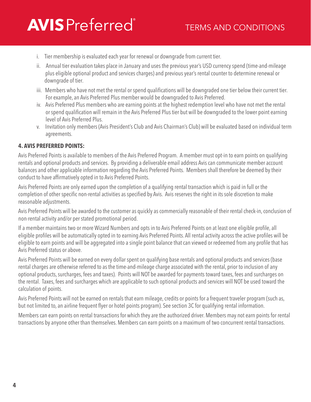- i. Tier membership is evaluated each year for renewal or downgrade from current tier.
- ii. Annual tier evaluation takes place in January and uses the previous year's USD currency spend (time-and-mileage plus eligible optional product and services charges) and previous year's rental counter to determine renewal or downgrade of tier.
- iii. Members who have not met the rental or spend qualifications will be downgraded one tier below their current tier. For example, an Avis Preferred Plus member would be downgraded to Avis Preferred.
- iv. Avis Preferred Plus members who are earning points at the highest redemption level who have not met the rental or spend qualification will remain in the Avis Preferred Plus tier but will be downgraded to the lower point earning level of Avis Preferred Plus.
- v. Invitation only members (Avis President's Club and Avis Chairman's Club) will be evaluated based on individual term agreements.

#### **4. AVIS PREFERRED POINTS:**

Avis Preferred Points is available to members of the Avis Preferred Program. A member must opt-in to earn points on qualifying rentals and optional products and services. By providing a deliverable email address Avis can communicate member account balances and other applicable information regarding the Avis Preferred Points. Members shall therefore be deemed by their conduct to have affirmatively opted in to Avis Preferred Points.

Avis Preferred Points are only earned upon the completion of a qualifying rental transaction which is paid in full or the completion of other specific non-rental activities as specified by Avis. Avis reserves the right in its sole discretion to make reasonable adjustments.

Avis Preferred Points will be awarded to the customer as quickly as commercially reasonable of their rental check-in, conclusion of non-rental activity and/or per stated promotional period.

If a member maintains two or more Wizard Numbers and opts in to Avis Preferred Points on at least one eligible profile, all eligible profiles will be automatically opted in to earning Avis Preferred Points. All rental activity across the active profiles will be eligible to earn points and will be aggregated into a single point balance that can viewed or redeemed from any profile that has Avis Preferred status or above.

Avis Preferred Points will be earned on every dollar spent on qualifying base rentals and optional products and services (base rental charges are otherwise referred to as the time-and-mileage charge associated with the rental, prior to inclusion of any optional products, surcharges, fees and taxes). Points will NOT be awarded for payments toward taxes, fees and surcharges on the rental. Taxes, fees and surcharges which are applicable to such optional products and services will NOT be used toward the calculation of points.

Avis Preferred Points will not be earned on rentals that earn mileage, credits or points for a frequent traveler program (such as, but not limited to, an airline frequent flyer or hotel points program). See section 3C for qualifying rental information.

Members can earn points on rental transactions for which they are the authorized driver. Members may not earn points for rental transactions by anyone other than themselves. Members can earn points on a maximum of two concurrent rental transactions.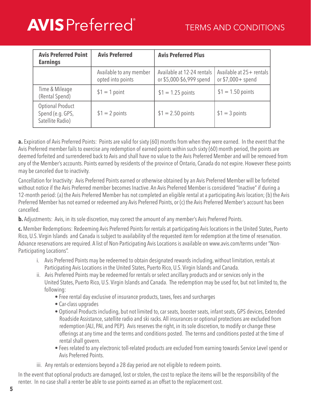| <b>Avis Preferred Point</b><br><b>Earnings</b>                  | <b>Avis Preferred</b>                        | <b>Avis Preferred Plus</b>                             |                                                |
|-----------------------------------------------------------------|----------------------------------------------|--------------------------------------------------------|------------------------------------------------|
|                                                                 | Available to any member<br>opted into points | Available at 12-24 rentals<br>or \$5,000-\$6,999 spend | Available at 25+ rentals<br>or $$7,000+$ spend |
| Time & Mileage<br>(Rental Spend)                                | $$1 = 1$ point                               | $$1 = 1.25$ points                                     | $$1 = 1.50$ points                             |
| <b>Optional Product</b><br>Spend (e.g. GPS,<br>Satellite Radio) | $$1 = 2$ points                              | $$1 = 2.50$ points                                     | $$1 = 3$ points                                |

**a.** Expiration of Avis Preferred Points: Points are valid for sixty (60) months from when they were earned. In the event that the Avis Preferred member fails to exercise any redemption of earned points within such sixty (60) month period, the points are deemed forfeited and surrendered back to Avis and shall have no value to the Avis Preferred Member and will be removed from any of the Member's accounts. Points earned by residents of the province of Ontario, Canada do not expire. However these points may be canceled due to inactivity.

Cancellation for Inactivity: Avis Preferred Points earned or otherwise obtained by an Avis Preferred Member will be forfeited without notice if the Avis Preferred member becomes Inactive. An Avis Preferred Member is considered "Inactive" if during a 12-month period: (a) the Avis Preferred Member has not completed an eligible rental at a participating Avis location; (b) the Avis Preferred Member has not earned or redeemed any Avis Preferred Points, or (c) the Avis Preferred Member's account has been cancelled.

**b.** Adjustments: Avis, in its sole discretion, may correct the amount of any member's Avis Preferred Points.

**c.** Member Redemptions: Redeeming Avis Preferred Points for rentals at participating Avis locations in the United States, Puerto Rico, U.S. Virgin Islands and Canada is subject to availability of the requested item for redemption at the time of reservation. Advance reservations are required. A list of Non-Participating Avis Locations is available on www.avis.com/terms under "Non-Participating Locations".

- i. Avis Preferred Points may be redeemed to obtain designated rewards including, without limitation, rentals at Participating Avis Locations in the United States, Puerto Rico, U.S. Virgin Islands and Canada.
- ii. Avis Preferred Points may be redeemed for rentals or select ancillary products and or services only in the United States, Puerto Rico, U.S. Virgin Islands and Canada. The redemption may be used for, but not limited to, the following:
	- Free rental day exclusive of insurance products, taxes, fees and surcharges
	- Car-class upgrades
	- Optional Products including, but not limited to, car seats, booster seats, infant seats, GPS devices, Extended Roadside Assistance, satellite radio and ski racks. All insurances or optional protections are excluded from redemption (ALI, PAI, and PEP). Avis reserves the right, in its sole discretion, to modify or change these offerings at any time and the terms and conditions posted. The terms and conditions posted at the time of rental shall govern.
	- Fees related to any electronic toll-related products are excluded from earning towards Service Level spend or Avis Preferred Points.
- iii. Any rentals or extensions beyond a 28 day period are not eligible to redeem points.

In the event that optional products are damaged, lost or stolen, the cost to replace the items will be the responsibility of the renter. In no case shall a renter be able to use points earned as an offset to the replacement cost.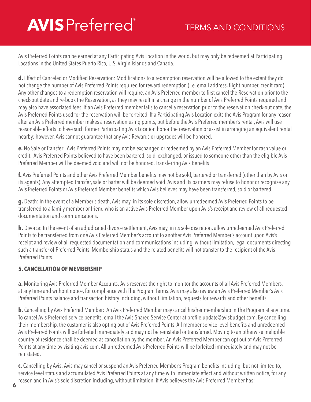Avis Preferred Points can be earned at any Participating Avis Location in the world, but may only be redeemed at Participating Locations in the United States Puerto Rico, U.S. Virgin Islands and Canada.

**d.** Effect of Canceled or Modified Reservation: Modifications to a redemption reservation will be allowed to the extent they do not change the number of Avis Preferred Points required for reward redemption (i.e. email address, flight number, credit card). Any other changes to a redemption reservation will require, an Avis Preferred member to first cancel the Reservation prior to the check-out date and re-book the Reservation, as they may result in a change in the number of Avis Preferred Points required and may also have associated fees. If an Avis Preferred member fails to cancel a reservation prior to the reservation check-out date, the Avis Preferred Points used for the reservation will be forfeited. If a Participating Avis Location exits the Avis Program for any reason after an Avis Preferred member makes a reservation using points, but before the Avis Preferred member's rental, Avis will use reasonable efforts to have such former Participating Avis Location honor the reservation or assist in arranging an equivalent rental nearby; however, Avis cannot guarantee that any Avis Rewards or upgrades will be honored.

**e.** No Sale or Transfer: Avis Preferred Points may not be exchanged or redeemed by an Avis Preferred Member for cash value or credit. Avis Preferred Points believed to have been bartered, sold, exchanged, or issued to someone other than the eligible Avis Preferred Member will be deemed void and will not be honored. Transferring Avis Benefits

**f.** Avis Preferred Points and other Avis Preferred Member benefits may not be sold, bartered or transferred (other than by Avis or its agents). Any attempted transfer, sale or barter will be deemed void. Avis and its partners may refuse to honor or recognize any Avis Preferred Points or Avis Preferred Member benefits which Avis believes may have been transferred, sold or bartered.

**g.** Death: In the event of a Member's death, Avis may, in its sole discretion, allow unredeemed Avis Preferred Points to be transferred to a family member or friend who is an active Avis Preferred Member upon Avis's receipt and review of all requested documentation and communications.

**h.** Divorce: In the event of an adjudicated divorce settlement, Avis may, in its sole discretion, allow unredeemed Avis Preferred Points to be transferred from one Avis Preferred Member's account to another Avis Preferred Member's account upon Avis's receipt and review of all requested documentation and communications including, without limitation, legal documents directing such a transfer of Preferred Points. Membership status and the related benefits will not transfer to the recipient of the Avis Preferred Points.

### **5. CANCELLATION OF MEMBERSHIP**

**a.** Monitoring Avis Preferred Member Accounts: Avis reserves the right to monitor the accounts of all Avis Preferred Members, at any time and without notice, for compliance with The Program Terms. Avis may also review an Avis Preferred Member's Avis Preferred Points balance and transaction history including, without limitation, requests for rewards and other benefits.

**b.** Cancelling by Avis Preferred Member: An Avis Preferred Member may cancel his/her membership in The Program at any time. To cancel Avis Preferred service benefits, email the Avis Shared Service Center at profile.update@avisbudget.com. By cancelling their membership, the customer is also opting out of Avis Preferred Points. All member service level benefits and unredeemed Avis Preferred Points will be forfeited immediately and may not be reinstated or transferred. Moving to an otherwise ineligible country of residence shall be deemed as cancellation by the member. An Avis Preferred Member can opt out of Avis Preferred Points at any time by visiting avis.com. All unredeemed Avis Preferred Points will be forfeited immediately and may not be reinstated.

**c.** Cancelling by Avis: Avis may cancel or suspend an Avis Preferred Member's Program benefits including, but not limited to, service level status and accumulated Avis Preferred Points at any time with immediate effect and without written notice, for any reason and in Avis's sole discretion including, without limitation, if Avis believes the Avis Preferred Member has: **6**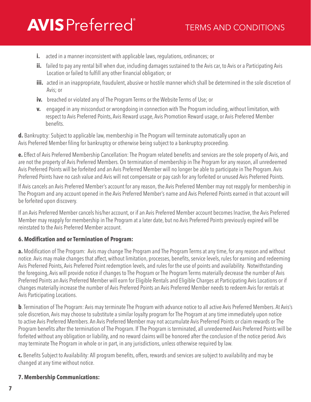- **i.** acted in a manner inconsistent with applicable laws, regulations, ordinances; or
- **ii.** failed to pay any rental bill when due, including damages sustained to the Avis car, to Avis or a Participating Avis Location or failed to fulfill any other financial obligation; or
- **iii.** acted in an inappropriate, fraudulent, abusive or hostile manner which shall be determined in the sole discretion of Avis; or
- **iv.** breached or violated any of The Program Terms or the Website Terms of Use; or
- **v.** engaged in any misconduct or wrongdoing in connection with The Program including, without limitation, with respect to Avis Preferred Points, Avis Reward usage, Avis Promotion Reward usage, or Avis Preferred Member benefits.

**d.** Bankruptcy: Subject to applicable law, membership in The Program will terminate automatically upon an Avis Preferred Member filing for bankruptcy or otherwise being subject to a bankruptcy proceeding.

**e.** Effect of Avis Preferred Membership Cancellation: The Program related benefits and services are the sole property of Avis, and are not the property of Avis Preferred Members. On termination of membership in The Program for any reason, all unredeemed Avis Preferred Points will be forfeited and an Avis Preferred Member will no longer be able to participate in The Program. Avis Preferred Points have no cash value and Avis will not compensate or pay cash for any forfeited or unused Avis Preferred Points.

If Avis cancels an Avis Preferred Member's account for any reason, the Avis Preferred Member may not reapply for membership in The Program and any account opened in the Avis Preferred Member's name and Avis Preferred Points earned in that account will be forfeited upon discovery.

If an Avis Preferred Member cancels his/her account, or if an Avis Preferred Member account becomes Inactive, the Avis Preferred Member may reapply for membership in The Program at a later date, but no Avis Preferred Points previously expired will be reinstated to the Avis Preferred Member account.

#### **6. Modification and or Termination of Program:**

**a.** Modification of The Program: Avis may change The Program and The Program Terms at any time, for any reason and without notice. Avis may make changes that affect, without limitation, processes, benefits, service levels, rules for earning and redeeming Avis Preferred Points, Avis Preferred Point redemption levels, and rules for the use of points and availability. Notwithstanding the foregoing, Avis will provide notice if changes to The Program or The Program Terms materially decrease the number of Avis Preferred Points an Avis Preferred Member will earn for Eligible Rentals and Eligible Charges at Participating Avis Locations or if changes materially increase the number of Avis Preferred Points an Avis Preferred Member needs to redeem Avis for rentals at Avis Participating Locations.

**b**. Termination of The Program: Avis may terminate The Program with advance notice to all active Avis Preferred Members. At Avis's sole discretion, Avis may choose to substitute a similar loyalty program for The Program at any time immediately upon notice to active Avis Preferred Members. An Avis Preferred Member may not accumulate Avis Preferred Points or claim rewards or The Program benefits after the termination of The Program. If The Program is terminated, all unredeemed Avis Preferred Points will be forfeited without any obligation or liability, and no reward claims will be honored after the conclusion of the notice period. Avis may terminate The Program in whole or in part, in any jurisdictions, unless otherwise required by law.

**c.** Benefits Subject to Availability: All program benefits, offers, rewards and services are subject to availability and may be changed at any time without notice.

### **7. Membership Communications:**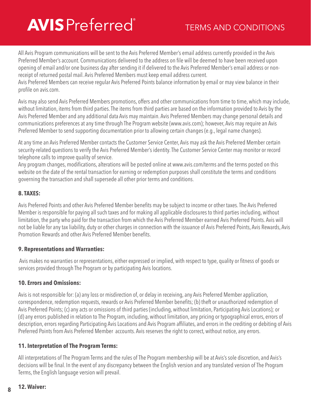All Avis Program communications will be sent to the Avis Preferred Member's email address currently provided in the Avis Preferred Member's account. Communications delivered to the address on file will be deemed to have been received upon opening of email and/or one business day after sending it if delivered to the Avis Preferred Member's email address or nonreceipt of returned postal mail. Avis Preferred Members must keep email address current.

Avis Preferred Members can receive regular Avis Preferred Points balance information by email or may view balance in their profile on avis.com.

Avis may also send Avis Preferred Members promotions, offers and other communications from time to time, which may include, without limitation, items from third parties. The items from third parties are based on the information provided to Avis by the Avis Preferred Member and any additional data Avis may maintain. Avis Preferred Members may change personal details and communications preferences at any time through The Program website (www.avis.com); however, Avis may require an Avis Preferred Member to send supporting documentation prior to allowing certain changes (e.g., legal name changes).

At any time an Avis Preferred Member contacts the Customer Service Center, Avis may ask the Avis Preferred Member certain security-related questions to verify the Avis Preferred Member's identity. The Customer Service Center may monitor or record telephone calls to improve quality of service.

Any program changes, modifications, alterations will be posted online at www.avis.com/terms and the terms posted on this website on the date of the rental transaction for earning or redemption purposes shall constitute the terms and conditions governing the transaction and shall supersede all other prior terms and conditions.

#### **8. TAXES:**

Avis Preferred Points and other Avis Preferred Member benefits may be subject to income or other taxes. The Avis Preferred Member is responsible for paying all such taxes and for making all applicable disclosures to third parties including, without limitation, the party who paid for the transaction from which the Avis Preferred Member earned Avis Preferred Points. Avis will not be liable for any tax liability, duty or other charges in connection with the issuance of Avis Preferred Points, Avis Rewards, Avis Promotion Rewards and other Avis Preferred Member benefits.

### **9. Representations and Warranties:**

 Avis makes no warranties or representations, either expressed or implied, with respect to type, quality or fitness of goods or services provided through The Program or by participating Avis locations.

#### **10. Errors and Omissions:**

Avis is not responsible for: (a) any loss or misdirection of, or delay in receiving, any Avis Preferred Member application, correspondence, redemption requests, rewards or Avis Preferred Member benefits; (b) theft or unauthorized redemption of Avis Preferred Points; (c) any acts or omissions of third parties (including, without limitation, Participating Avis Locations); or (d) any errors published in relation to The Program, including, without limitation, any pricing or typographical errors, errors of description, errors regarding Participating Avis Locations and Avis Program affiliates, and errors in the crediting or debiting of Avis Preferred Points from Avis Preferred Member accounts. Avis reserves the right to correct, without notice, any errors.

#### **11. Interpretation of The Program Terms:**

All interpretations of The Program Terms and the rules of The Program membership will be at Avis's sole discretion, and Avis's decisions will be final. In the event of any discrepancy between the English version and any translated version of The Program Terms, the English language version will prevail.